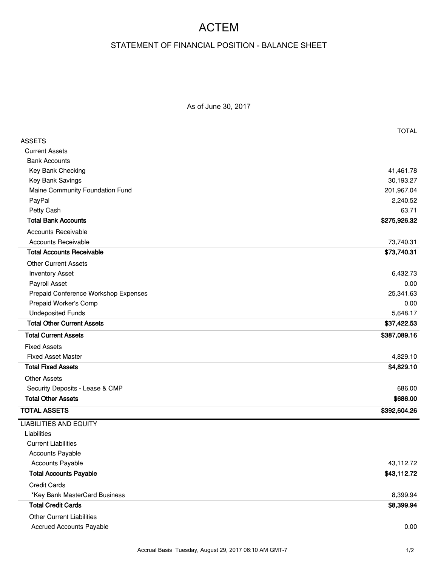## ACTEM

## STATEMENT OF FINANCIAL POSITION - BALANCE SHEET

As of June 30, 2017

|                                      | <b>TOTAL</b> |
|--------------------------------------|--------------|
| <b>ASSETS</b>                        |              |
| <b>Current Assets</b>                |              |
| <b>Bank Accounts</b>                 |              |
| Key Bank Checking                    | 41,461.78    |
| Key Bank Savings                     | 30,193.27    |
| Maine Community Foundation Fund      | 201,967.04   |
| PayPal                               | 2,240.52     |
| Petty Cash                           | 63.71        |
| <b>Total Bank Accounts</b>           | \$275,926.32 |
| <b>Accounts Receivable</b>           |              |
| <b>Accounts Receivable</b>           | 73,740.31    |
| <b>Total Accounts Receivable</b>     | \$73,740.31  |
| <b>Other Current Assets</b>          |              |
| <b>Inventory Asset</b>               | 6,432.73     |
| Payroll Asset                        | 0.00         |
| Prepaid Conference Workshop Expenses | 25,341.63    |
| Prepaid Worker's Comp                | 0.00         |
| <b>Undeposited Funds</b>             | 5,648.17     |
| <b>Total Other Current Assets</b>    | \$37,422.53  |
| <b>Total Current Assets</b>          | \$387,089.16 |
| <b>Fixed Assets</b>                  |              |
| <b>Fixed Asset Master</b>            | 4,829.10     |
| <b>Total Fixed Assets</b>            | \$4,829.10   |
| <b>Other Assets</b>                  |              |
| Security Deposits - Lease & CMP      | 686.00       |
| <b>Total Other Assets</b>            | \$686.00     |
| <b>TOTAL ASSETS</b>                  | \$392,604.26 |
| <b>LIABILITIES AND EQUITY</b>        |              |
| Liabilities                          |              |
| <b>Current Liabilities</b>           |              |
| Accounts Payable                     |              |
| Accounts Payable                     | 43,112.72    |
| <b>Total Accounts Payable</b>        | \$43,112.72  |
| <b>Credit Cards</b>                  |              |
| *Key Bank MasterCard Business        | 8,399.94     |
| <b>Total Credit Cards</b>            | \$8,399.94   |
| <b>Other Current Liabilities</b>     |              |
| <b>Accrued Accounts Payable</b>      | 0.00         |
|                                      |              |